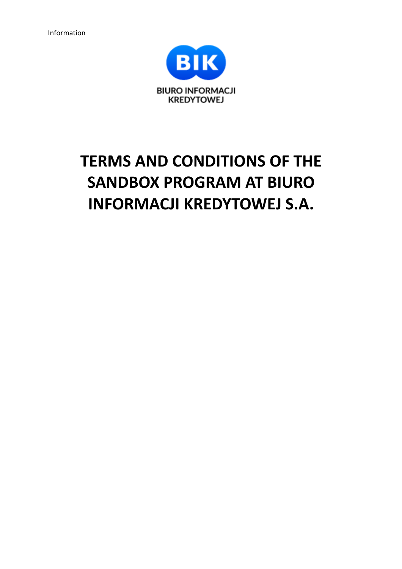

# **TERMS AND CONDITIONS OF THE SANDBOX PROGRAM AT BIURO INFORMACJI KREDYTOWEJ S.A.**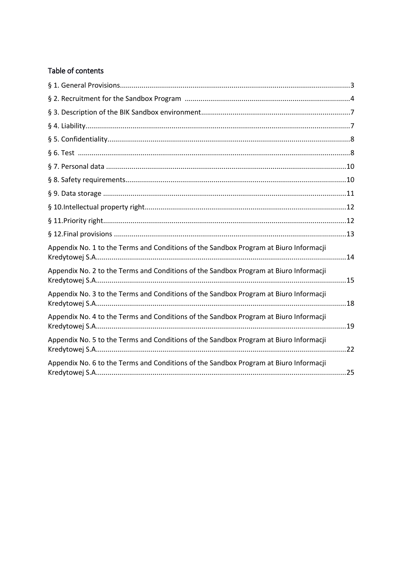# Table of contents

| Appendix No. 1 to the Terms and Conditions of the Sandbox Program at Biuro Informacji |  |
|---------------------------------------------------------------------------------------|--|
| Appendix No. 2 to the Terms and Conditions of the Sandbox Program at Biuro Informacji |  |
| Appendix No. 3 to the Terms and Conditions of the Sandbox Program at Biuro Informacji |  |
| Appendix No. 4 to the Terms and Conditions of the Sandbox Program at Biuro Informacji |  |
| Appendix No. 5 to the Terms and Conditions of the Sandbox Program at Biuro Informacji |  |
| Appendix No. 6 to the Terms and Conditions of the Sandbox Program at Biuro Informacji |  |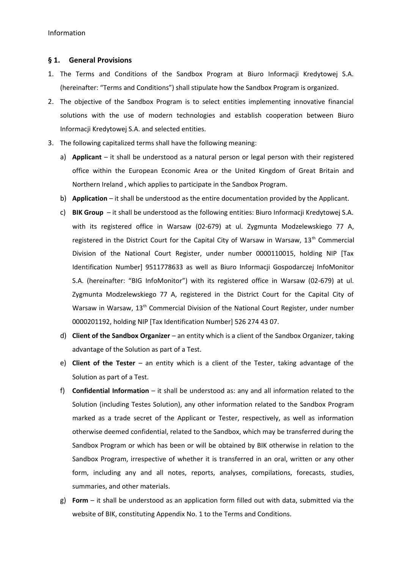#### **§ 1. General Provisions**

- 1. The Terms and Conditions of the Sandbox Program at Biuro Informacji Kredytowej S.A. (hereinafter: "Terms and Conditions") shall stipulate how the Sandbox Program is organized.
- 2. The objective of the Sandbox Program is to select entities implementing innovative financial solutions with the use of modern technologies and establish cooperation between Biuro Informacji Kredytowej S.A. and selected entities.
- 3. The following capitalized terms shall have the following meaning:
	- a) **Applicant** it shall be understood as a natural person or legal person with their registered office within the European Economic Area or the United Kingdom of Great Britain and Northern Ireland , which applies to participate in the Sandbox Program.
	- b) **Application** it shall be understood as the entire documentation provided by the Applicant.
	- c) **BIK Group**  it shall be understood as the following entities: Biuro Informacji Kredytowej S.A. with its registered office in Warsaw (02-679) at ul. Zygmunta Modzelewskiego 77 A, registered in the District Court for the Capital City of Warsaw in Warsaw,  $13<sup>th</sup>$  Commercial Division of the National Court Register, under number 0000110015, holding NIP [Tax Identification Number] 9511778633 as well as Biuro Informacji Gospodarczej InfoMonitor S.A. (hereinafter: "BIG InfoMonitor") with its registered office in Warsaw (02-679) at ul. Zygmunta Modzelewskiego 77 A, registered in the District Court for the Capital City of Warsaw in Warsaw, 13<sup>th</sup> Commercial Division of the National Court Register, under number 0000201192, holding NIP [Tax Identification Number] 526 274 43 07.
	- d) **Client of the Sandbox Organizer** an entity which is a client of the Sandbox Organizer, taking advantage of the Solution as part of a Test.
	- e) **Client of the Tester** an entity which is a client of the Tester, taking advantage of the Solution as part of a Test.
	- f) **Confidential Information** it shall be understood as: any and all information related to the Solution (including Testes Solution), any other information related to the Sandbox Program marked as a trade secret of the Applicant or Tester, respectively, as well as information otherwise deemed confidential, related to the Sandbox, which may be transferred during the Sandbox Program or which has been or will be obtained by BIK otherwise in relation to the Sandbox Program, irrespective of whether it is transferred in an oral, written or any other form, including any and all notes, reports, analyses, compilations, forecasts, studies, summaries, and other materials.
	- g) **Form** it shall be understood as an application form filled out with data, submitted via the website of BIK, constituting Appendix No. 1 to the Terms and Conditions.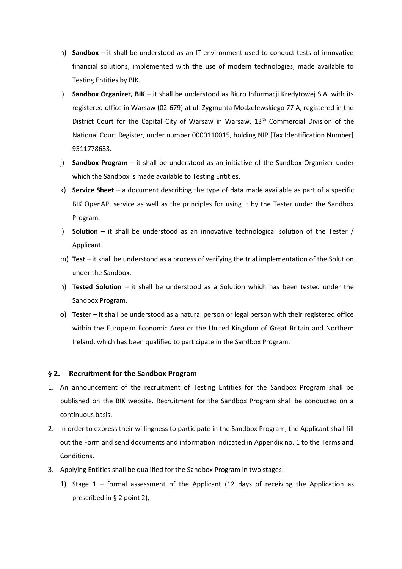- h) **Sandbox** it shall be understood as an IT environment used to conduct tests of innovative financial solutions, implemented with the use of modern technologies, made available to Testing Entities by BIK.
- i) **Sandbox Organizer, BIK**  it shall be understood as Biuro Informacji Kredytowej S.A. with its registered office in Warsaw (02-679) at ul. Zygmunta Modzelewskiego 77 A, registered in the District Court for the Capital City of Warsaw in Warsaw,  $13<sup>th</sup>$  Commercial Division of the National Court Register, under number 0000110015, holding NIP [Tax Identification Number] 9511778633.
- j) **Sandbox Program** it shall be understood as an initiative of the Sandbox Organizer under which the Sandbox is made available to Testing Entities.
- k) **Service Sheet**  a document describing the type of data made available as part of a specific BIK OpenAPI service as well as the principles for using it by the Tester under the Sandbox Program.
- l) **Solution** it shall be understood as an innovative technological solution of the Tester / Applicant.
- m) **Test** it shall be understood as a process of verifying the trial implementation of the Solution under the Sandbox.
- n) **Tested Solution** it shall be understood as a Solution which has been tested under the Sandbox Program.
- o) **Tester** it shall be understood as a natural person or legal person with their registered office within the European Economic Area or the United Kingdom of Great Britain and Northern Ireland, which has been qualified to participate in the Sandbox Program.

#### **§ 2. Recruitment for the Sandbox Program**

- 1. An announcement of the recruitment of Testing Entities for the Sandbox Program shall be published on the BIK website. Recruitment for the Sandbox Program shall be conducted on a continuous basis.
- 2. In order to express their willingness to participate in the Sandbox Program, the Applicant shall fill out the Form and send documents and information indicated in Appendix no. 1 to the Terms and Conditions.
- 3. Applying Entities shall be qualified for the Sandbox Program in two stages:
	- 1) Stage  $1$  formal assessment of the Applicant (12 days of receiving the Application as prescribed in § 2 point 2),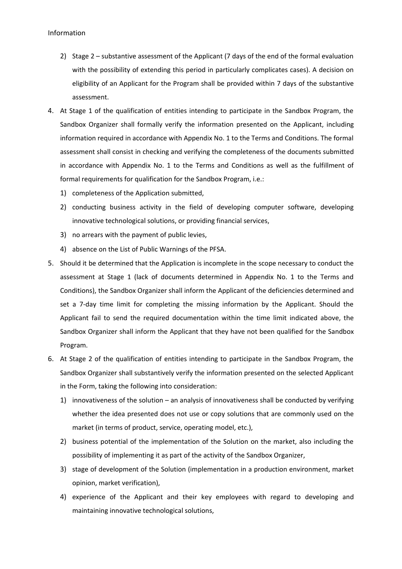- 2) Stage 2 substantive assessment of the Applicant (7 days of the end of the formal evaluation with the possibility of extending this period in particularly complicates cases). A decision on eligibility of an Applicant for the Program shall be provided within 7 days of the substantive assessment.
- 4. At Stage 1 of the qualification of entities intending to participate in the Sandbox Program, the Sandbox Organizer shall formally verify the information presented on the Applicant, including information required in accordance with Appendix No. 1 to the Terms and Conditions. The formal assessment shall consist in checking and verifying the completeness of the documents submitted in accordance with Appendix No. 1 to the Terms and Conditions as well as the fulfillment of formal requirements for qualification for the Sandbox Program, i.e.:
	- 1) completeness of the Application submitted,
	- 2) conducting business activity in the field of developing computer software, developing innovative technological solutions, or providing financial services,
	- 3) no arrears with the payment of public levies,
	- 4) absence on the List of Public Warnings of the PFSA.
- 5. Should it be determined that the Application is incomplete in the scope necessary to conduct the assessment at Stage 1 (lack of documents determined in Appendix No. 1 to the Terms and Conditions), the Sandbox Organizer shall inform the Applicant of the deficiencies determined and set a 7-day time limit for completing the missing information by the Applicant. Should the Applicant fail to send the required documentation within the time limit indicated above, the Sandbox Organizer shall inform the Applicant that they have not been qualified for the Sandbox Program.
- 6. At Stage 2 of the qualification of entities intending to participate in the Sandbox Program, the Sandbox Organizer shall substantively verify the information presented on the selected Applicant in the Form, taking the following into consideration:
	- 1) innovativeness of the solution an analysis of innovativeness shall be conducted by verifying whether the idea presented does not use or copy solutions that are commonly used on the market (in terms of product, service, operating model, etc.),
	- 2) business potential of the implementation of the Solution on the market, also including the possibility of implementing it as part of the activity of the Sandbox Organizer,
	- 3) stage of development of the Solution (implementation in a production environment, market opinion, market verification),
	- 4) experience of the Applicant and their key employees with regard to developing and maintaining innovative technological solutions,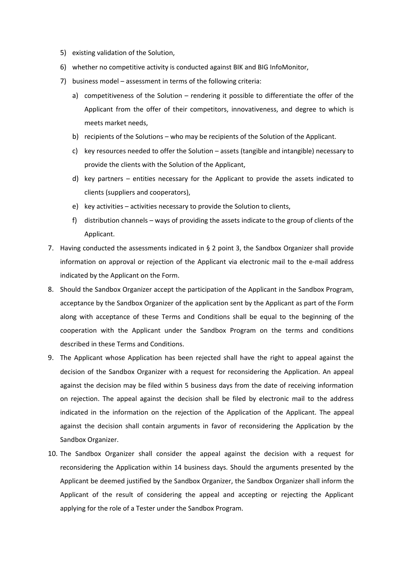- 5) existing validation of the Solution,
- 6) whether no competitive activity is conducted against BIK and BIG InfoMonitor,
- 7) business model assessment in terms of the following criteria:
	- a) competitiveness of the Solution rendering it possible to differentiate the offer of the Applicant from the offer of their competitors, innovativeness, and degree to which is meets market needs,
	- b) recipients of the Solutions who may be recipients of the Solution of the Applicant.
	- c) key resources needed to offer the Solution assets (tangible and intangible) necessary to provide the clients with the Solution of the Applicant,
	- d) key partners entities necessary for the Applicant to provide the assets indicated to clients (suppliers and cooperators),
	- e) key activities activities necessary to provide the Solution to clients,
	- f) distribution channels ways of providing the assets indicate to the group of clients of the Applicant.
- 7. Having conducted the assessments indicated in § 2 point 3, the Sandbox Organizer shall provide information on approval or rejection of the Applicant via electronic mail to the e-mail address indicated by the Applicant on the Form.
- 8. Should the Sandbox Organizer accept the participation of the Applicant in the Sandbox Program, acceptance by the Sandbox Organizer of the application sent by the Applicant as part of the Form along with acceptance of these Terms and Conditions shall be equal to the beginning of the cooperation with the Applicant under the Sandbox Program on the terms and conditions described in these Terms and Conditions.
- 9. The Applicant whose Application has been rejected shall have the right to appeal against the decision of the Sandbox Organizer with a request for reconsidering the Application. An appeal against the decision may be filed within 5 business days from the date of receiving information on rejection. The appeal against the decision shall be filed by electronic mail to the address indicated in the information on the rejection of the Application of the Applicant. The appeal against the decision shall contain arguments in favor of reconsidering the Application by the Sandbox Organizer.
- 10. The Sandbox Organizer shall consider the appeal against the decision with a request for reconsidering the Application within 14 business days. Should the arguments presented by the Applicant be deemed justified by the Sandbox Organizer, the Sandbox Organizer shall inform the Applicant of the result of considering the appeal and accepting or rejecting the Applicant applying for the role of a Tester under the Sandbox Program.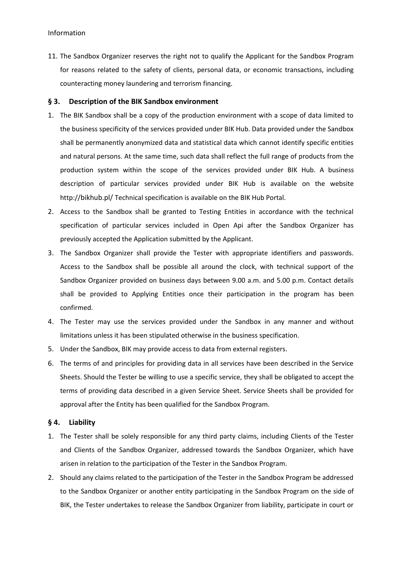11. The Sandbox Organizer reserves the right not to qualify the Applicant for the Sandbox Program for reasons related to the safety of clients, personal data, or economic transactions, including counteracting money laundering and terrorism financing.

#### **§ 3. Description of the BIK Sandbox environment**

- 1. The BIK Sandbox shall be a copy of the production environment with a scope of data limited to the business specificity of the services provided under BIK Hub. Data provided under the Sandbox shall be permanently anonymized data and statistical data which cannot identify specific entities and natural persons. At the same time, such data shall reflect the full range of products from the production system within the scope of the services provided under BIK Hub. A business description of particular services provided under BIK Hub is available on the website http://bikhub.pl/ Technical specification is available on the BIK Hub Portal.
- 2. Access to the Sandbox shall be granted to Testing Entities in accordance with the technical specification of particular services included in Open Api after the Sandbox Organizer has previously accepted the Application submitted by the Applicant.
- 3. The Sandbox Organizer shall provide the Tester with appropriate identifiers and passwords. Access to the Sandbox shall be possible all around the clock, with technical support of the Sandbox Organizer provided on business days between 9.00 a.m. and 5.00 p.m. Contact details shall be provided to Applying Entities once their participation in the program has been confirmed.
- 4. The Tester may use the services provided under the Sandbox in any manner and without limitations unless it has been stipulated otherwise in the business specification.
- 5. Under the Sandbox, BIK may provide access to data from external registers.
- 6. The terms of and principles for providing data in all services have been described in the Service Sheets. Should the Tester be willing to use a specific service, they shall be obligated to accept the terms of providing data described in a given Service Sheet. Service Sheets shall be provided for approval after the Entity has been qualified for the Sandbox Program.

#### **§ 4. Liability**

- 1. The Tester shall be solely responsible for any third party claims, including Clients of the Tester and Clients of the Sandbox Organizer, addressed towards the Sandbox Organizer, which have arisen in relation to the participation of the Tester in the Sandbox Program.
- 2. Should any claims related to the participation of the Tester in the Sandbox Program be addressed to the Sandbox Organizer or another entity participating in the Sandbox Program on the side of BIK, the Tester undertakes to release the Sandbox Organizer from liability, participate in court or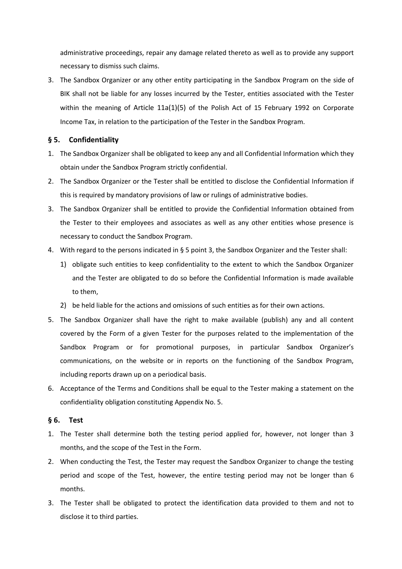administrative proceedings, repair any damage related thereto as well as to provide any support necessary to dismiss such claims.

3. The Sandbox Organizer or any other entity participating in the Sandbox Program on the side of BIK shall not be liable for any losses incurred by the Tester, entities associated with the Tester within the meaning of Article 11a(1)(5) of the Polish Act of 15 February 1992 on Corporate Income Tax, in relation to the participation of the Tester in the Sandbox Program.

# **§ 5. Confidentiality**

- 1. The Sandbox Organizer shall be obligated to keep any and all Confidential Information which they obtain under the Sandbox Program strictly confidential.
- 2. The Sandbox Organizer or the Tester shall be entitled to disclose the Confidential Information if this is required by mandatory provisions of law or rulings of administrative bodies.
- 3. The Sandbox Organizer shall be entitled to provide the Confidential Information obtained from the Tester to their employees and associates as well as any other entities whose presence is necessary to conduct the Sandbox Program.
- 4. With regard to the persons indicated in § 5 point 3, the Sandbox Organizer and the Tester shall:
	- 1) obligate such entities to keep confidentiality to the extent to which the Sandbox Organizer and the Tester are obligated to do so before the Confidential Information is made available to them,
	- 2) be held liable for the actions and omissions of such entities as for their own actions.
- 5. The Sandbox Organizer shall have the right to make available (publish) any and all content covered by the Form of a given Tester for the purposes related to the implementation of the Sandbox Program or for promotional purposes, in particular Sandbox Organizer's communications, on the website or in reports on the functioning of the Sandbox Program, including reports drawn up on a periodical basis.
- 6. Acceptance of the Terms and Conditions shall be equal to the Tester making a statement on the confidentiality obligation constituting Appendix No. 5.

# **§ 6. Test**

- 1. The Tester shall determine both the testing period applied for, however, not longer than 3 months, and the scope of the Test in the Form.
- 2. When conducting the Test, the Tester may request the Sandbox Organizer to change the testing period and scope of the Test, however, the entire testing period may not be longer than 6 months.
- 3. The Tester shall be obligated to protect the identification data provided to them and not to disclose it to third parties.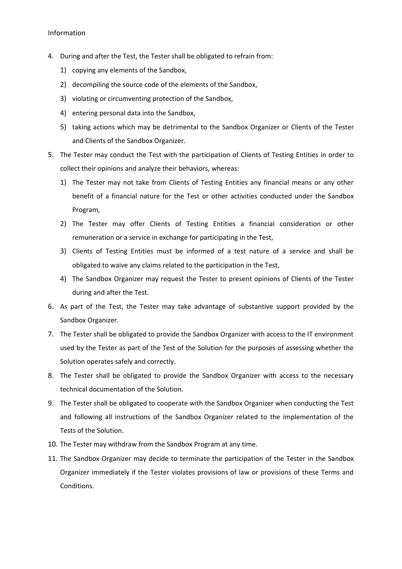#### Information

- 4. During and after the Test, the Tester shall be obligated to refrain from:
	- 1) copying any elements of the Sandbox,
	- 2) decompiling the source code of the elements of the Sandbox,
	- 3) violating or circumventing protection of the Sandbox,
	- 4) entering personal data into the Sandbox,
	- 5) taking actions which may be detrimental to the Sandbox Organizer or Clients of the Tester and Clients of the Sandbox Organizer.
- 5. The Tester may conduct the Test with the participation of Clients of Testing Entities in order to collect their opinions and analyze their behaviors, whereas:
	- 1) The Tester may not take from Clients of Testing Entities any financial means or any other benefit of a financial nature for the Test or other activities conducted under the Sandbox Program,
	- 2) The Tester may offer Clients of Testing Entities a financial consideration or other remuneration or a service in exchange for participating in the Test,
	- 3) Clients of Testing Entities must be informed of a test nature of a service and shall be obligated to waive any claims related to the participation in the Test,
	- 4) The Sandbox Organizer may request the Tester to present opinions of Clients of the Tester during and after the Test.
- 6. As part of the Test, the Tester may take advantage of substantive support provided by the Sandbox Organizer.
- 7. The Tester shall be obligated to provide the Sandbox Organizer with access to the IT environment used by the Tester as part of the Test of the Solution for the purposes of assessing whether the Solution operates safely and correctly.
- 8. The Tester shall be obligated to provide the Sandbox Organizer with access to the necessary technical documentation of the Solution.
- 9. The Tester shall be obligated to cooperate with the Sandbox Organizer when conducting the Test and following all instructions of the Sandbox Organizer related to the implementation of the Tests of the Solution.
- 10. The Tester may withdraw from the Sandbox Program at any time.
- 11. The Sandbox Organizer may decide to terminate the participation of the Tester in the Sandbox Organizer immediately if the Tester violates provisions of law or provisions of these Terms and Conditions.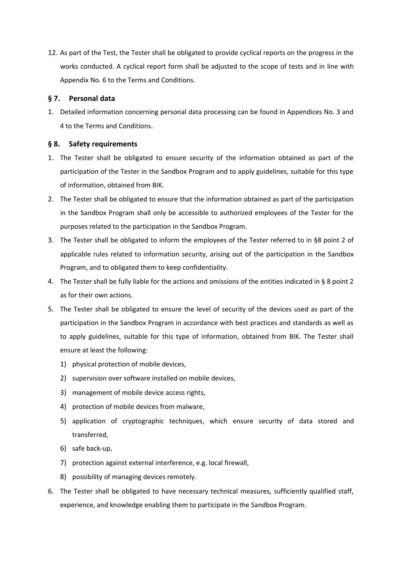12. As part of the Test, the Tester shall be obligated to provide cyclical reports on the progress in the works conducted. A cyclical report form shall be adjusted to the scope of tests and in line with Appendix No. 6 to the Terms and Conditions.

# **§ 7. Personal data**

1. Detailed information concerning personal data processing can be found in Appendices No. 3 and 4 to the Terms and Conditions.

# **§ 8. Safety requirements**

- 1. The Tester shall be obligated to ensure security of the information obtained as part of the participation of the Tester in the Sandbox Program and to apply guidelines, suitable for this type of information, obtained from BIK.
- 2. The Tester shall be obligated to ensure that the information obtained as part of the participation in the Sandbox Program shall only be accessible to authorized employees of the Tester for the purposes related to the participation in the Sandbox Program.
- 3. The Tester shall be obligated to inform the employees of the Tester referred to in §8 point 2 of applicable rules related to information security, arising out of the participation in the Sandbox Program, and to obligated them to keep confidentiality.
- 4. The Tester shall be fully liable for the actions and omissions of the entities indicated in § 8 point 2 as for their own actions.
- 5. The Tester shall be obligated to ensure the level of security of the devices used as part of the participation in the Sandbox Program in accordance with best practices and standards as well as to apply guidelines, suitable for this type of information, obtained from BIK. The Tester shall ensure at least the following:
	- 1) physical protection of mobile devices,
	- 2) supervision over software installed on mobile devices,
	- 3) management of mobile device access rights,
	- 4) protection of mobile devices from malware,
	- 5) application of cryptographic techniques, which ensure security of data stored and transferred,
	- 6) safe back-up,
	- 7) protection against external interference, e.g. local firewall,
	- 8) possibility of managing devices remotely.
- 6. The Tester shall be obligated to have necessary technical measures, sufficiently qualified staff, experience, and knowledge enabling them to participate in the Sandbox Program.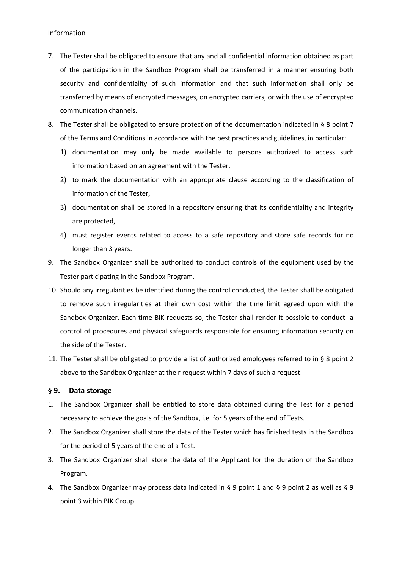- 7. The Tester shall be obligated to ensure that any and all confidential information obtained as part of the participation in the Sandbox Program shall be transferred in a manner ensuring both security and confidentiality of such information and that such information shall only be transferred by means of encrypted messages, on encrypted carriers, or with the use of encrypted communication channels.
- 8. The Tester shall be obligated to ensure protection of the documentation indicated in § 8 point 7 of the Terms and Conditions in accordance with the best practices and guidelines, in particular:
	- 1) documentation may only be made available to persons authorized to access such information based on an agreement with the Tester,
	- 2) to mark the documentation with an appropriate clause according to the classification of information of the Tester,
	- 3) documentation shall be stored in a repository ensuring that its confidentiality and integrity are protected,
	- 4) must register events related to access to a safe repository and store safe records for no longer than 3 years.
- 9. The Sandbox Organizer shall be authorized to conduct controls of the equipment used by the Tester participating in the Sandbox Program.
- 10. Should any irregularities be identified during the control conducted, the Tester shall be obligated to remove such irregularities at their own cost within the time limit agreed upon with the Sandbox Organizer. Each time BIK requests so, the Tester shall render it possible to conduct a control of procedures and physical safeguards responsible for ensuring information security on the side of the Tester.
- 11. The Tester shall be obligated to provide a list of authorized employees referred to in § 8 point 2 above to the Sandbox Organizer at their request within 7 days of such a request.

#### **§ 9. Data storage**

- 1. The Sandbox Organizer shall be entitled to store data obtained during the Test for a period necessary to achieve the goals of the Sandbox, i.e. for 5 years of the end of Tests.
- 2. The Sandbox Organizer shall store the data of the Tester which has finished tests in the Sandbox for the period of 5 years of the end of a Test.
- 3. The Sandbox Organizer shall store the data of the Applicant for the duration of the Sandbox Program.
- 4. The Sandbox Organizer may process data indicated in § 9 point 1 and § 9 point 2 as well as § 9 point 3 within BIK Group.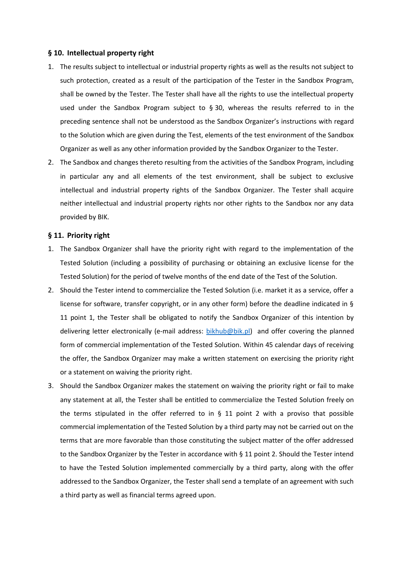#### **§ 10. Intellectual property right**

- 1. The results subject to intellectual or industrial property rights as well as the results not subject to such protection, created as a result of the participation of the Tester in the Sandbox Program, shall be owned by the Tester. The Tester shall have all the rights to use the intellectual property used under the Sandbox Program subject to  $\S 30$ , whereas the results referred to in the preceding sentence shall not be understood as the Sandbox Organizer's instructions with regard to the Solution which are given during the Test, elements of the test environment of the Sandbox Organizer as well as any other information provided by the Sandbox Organizer to the Tester.
- 2. The Sandbox and changes thereto resulting from the activities of the Sandbox Program, including in particular any and all elements of the test environment, shall be subject to exclusive intellectual and industrial property rights of the Sandbox Organizer. The Tester shall acquire neither intellectual and industrial property rights nor other rights to the Sandbox nor any data provided by BIK.

#### **§ 11. Priority right**

- 1. The Sandbox Organizer shall have the priority right with regard to the implementation of the Tested Solution (including a possibility of purchasing or obtaining an exclusive license for the Tested Solution) for the period of twelve months of the end date of the Test of the Solution.
- 2. Should the Tester intend to commercialize the Tested Solution (i.e. market it as a service, offer a license for software, transfer copyright, or in any other form) before the deadline indicated in § 11 point 1, the Tester shall be obligated to notify the Sandbox Organizer of this intention by delivering letter electronically (e-mail address: [bikhub@bik.pl\)](mailto:bikhub@bik.pl) and offer covering the planned form of commercial implementation of the Tested Solution. Within 45 calendar days of receiving the offer, the Sandbox Organizer may make a written statement on exercising the priority right or a statement on waiving the priority right.
- 3. Should the Sandbox Organizer makes the statement on waiving the priority right or fail to make any statement at all, the Tester shall be entitled to commercialize the Tested Solution freely on the terms stipulated in the offer referred to in § 11 point 2 with a proviso that possible commercial implementation of the Tested Solution by a third party may not be carried out on the terms that are more favorable than those constituting the subject matter of the offer addressed to the Sandbox Organizer by the Tester in accordance with § 11 point 2. Should the Tester intend to have the Tested Solution implemented commercially by a third party, along with the offer addressed to the Sandbox Organizer, the Tester shall send a template of an agreement with such a third party as well as financial terms agreed upon.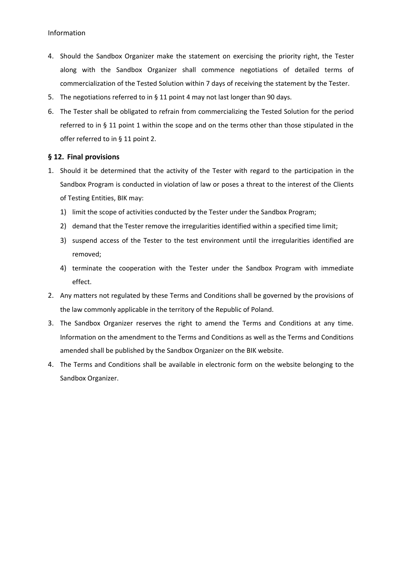- 4. Should the Sandbox Organizer make the statement on exercising the priority right, the Tester along with the Sandbox Organizer shall commence negotiations of detailed terms of commercialization of the Tested Solution within 7 days of receiving the statement by the Tester.
- 5. The negotiations referred to in § 11 point 4 may not last longer than 90 days.
- 6. The Tester shall be obligated to refrain from commercializing the Tested Solution for the period referred to in § 11 point 1 within the scope and on the terms other than those stipulated in the offer referred to in § 11 point 2.

#### **§ 12. Final provisions**

- 1. Should it be determined that the activity of the Tester with regard to the participation in the Sandbox Program is conducted in violation of law or poses a threat to the interest of the Clients of Testing Entities, BIK may:
	- 1) limit the scope of activities conducted by the Tester under the Sandbox Program;
	- 2) demand that the Tester remove the irregularities identified within a specified time limit;
	- 3) suspend access of the Tester to the test environment until the irregularities identified are removed;
	- 4) terminate the cooperation with the Tester under the Sandbox Program with immediate effect.
- 2. Any matters not regulated by these Terms and Conditions shall be governed by the provisions of the law commonly applicable in the territory of the Republic of Poland.
- 3. The Sandbox Organizer reserves the right to amend the Terms and Conditions at any time. Information on the amendment to the Terms and Conditions as well as the Terms and Conditions amended shall be published by the Sandbox Organizer on the BIK website.
- 4. The Terms and Conditions shall be available in electronic form on the website belonging to the Sandbox Organizer.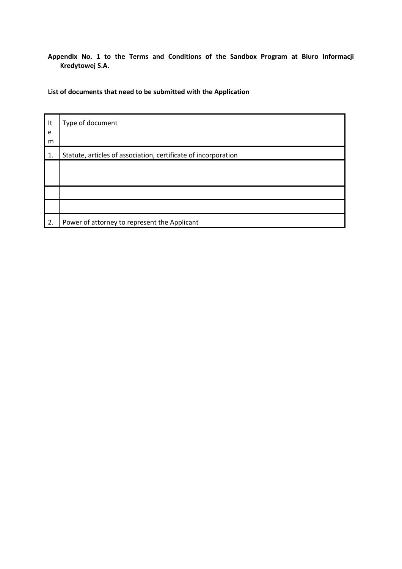**Appendix No. 1 to the Terms and Conditions of the Sandbox Program at Biuro Informacji Kredytowej S.A.**

# **List of documents that need to be submitted with the Application**

| It<br>e | Type of document                                               |
|---------|----------------------------------------------------------------|
| m       |                                                                |
| 1.      | Statute, articles of association, certificate of incorporation |
|         |                                                                |
|         |                                                                |
|         |                                                                |
|         |                                                                |
| 2.      | Power of attorney to represent the Applicant                   |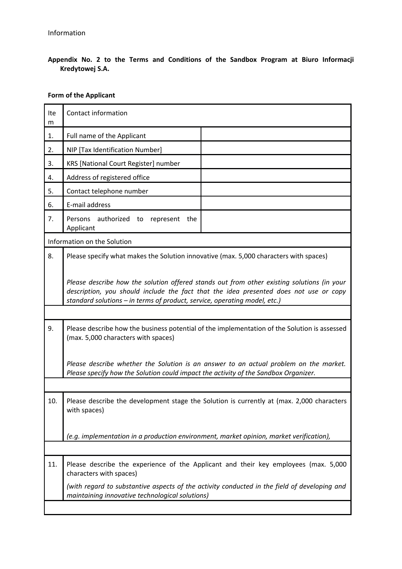**Appendix No. 2 to the Terms and Conditions of the Sandbox Program at Biuro Informacji Kredytowej S.A.**

# **Form of the Applicant**

| Ite<br>m | Contact information                                                                                                                                                                                                                                              |                                                                                              |  |  |
|----------|------------------------------------------------------------------------------------------------------------------------------------------------------------------------------------------------------------------------------------------------------------------|----------------------------------------------------------------------------------------------|--|--|
| 1.       | Full name of the Applicant                                                                                                                                                                                                                                       |                                                                                              |  |  |
| 2.       | NIP [Tax Identification Number]                                                                                                                                                                                                                                  |                                                                                              |  |  |
| 3.       | KRS [National Court Register] number                                                                                                                                                                                                                             |                                                                                              |  |  |
| 4.       | Address of registered office                                                                                                                                                                                                                                     |                                                                                              |  |  |
| 5.       | Contact telephone number                                                                                                                                                                                                                                         |                                                                                              |  |  |
| 6.       | E-mail address                                                                                                                                                                                                                                                   |                                                                                              |  |  |
| 7.       | Persons authorized<br>to<br>represent<br>the<br>Applicant                                                                                                                                                                                                        |                                                                                              |  |  |
|          | Information on the Solution                                                                                                                                                                                                                                      |                                                                                              |  |  |
| 8.       | Please specify what makes the Solution innovative (max. 5,000 characters with spaces)                                                                                                                                                                            |                                                                                              |  |  |
|          | Please describe how the solution offered stands out from other existing solutions (in your<br>description, you should include the fact that the idea presented does not use or copy<br>standard solutions - in terms of product, service, operating model, etc.) |                                                                                              |  |  |
|          |                                                                                                                                                                                                                                                                  |                                                                                              |  |  |
| 9.       | Please describe how the business potential of the implementation of the Solution is assessed<br>(max. 5,000 characters with spaces)                                                                                                                              |                                                                                              |  |  |
|          | Please describe whether the Solution is an answer to an actual problem on the market.<br>Please specify how the Solution could impact the activity of the Sandbox Organizer.                                                                                     |                                                                                              |  |  |
|          |                                                                                                                                                                                                                                                                  |                                                                                              |  |  |
| 10.      | Please describe the development stage the Solution is currently at (max. 2,000 characters<br>with spaces)                                                                                                                                                        |                                                                                              |  |  |
|          | (e.g. implementation in a production environment, market opinion, market verification),                                                                                                                                                                          |                                                                                              |  |  |
|          |                                                                                                                                                                                                                                                                  |                                                                                              |  |  |
| 11.      | characters with spaces)                                                                                                                                                                                                                                          | Please describe the experience of the Applicant and their key employees (max. 5,000          |  |  |
|          | maintaining innovative technological solutions)                                                                                                                                                                                                                  | (with regard to substantive aspects of the activity conducted in the field of developing and |  |  |
|          |                                                                                                                                                                                                                                                                  |                                                                                              |  |  |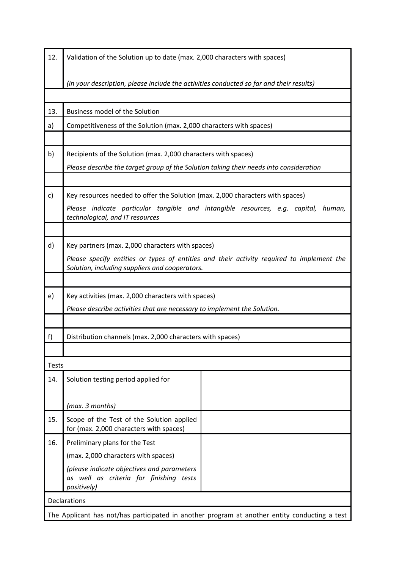| 12.                                                                                           | Validation of the Solution up to date (max. 2,000 characters with spaces)                                             |  |  |  |  |
|-----------------------------------------------------------------------------------------------|-----------------------------------------------------------------------------------------------------------------------|--|--|--|--|
|                                                                                               | (in your description, please include the activities conducted so far and their results)                               |  |  |  |  |
|                                                                                               |                                                                                                                       |  |  |  |  |
| 13.                                                                                           | <b>Business model of the Solution</b>                                                                                 |  |  |  |  |
| a)                                                                                            | Competitiveness of the Solution (max. 2,000 characters with spaces)                                                   |  |  |  |  |
|                                                                                               |                                                                                                                       |  |  |  |  |
| b)                                                                                            | Recipients of the Solution (max. 2,000 characters with spaces)                                                        |  |  |  |  |
|                                                                                               | Please describe the target group of the Solution taking their needs into consideration                                |  |  |  |  |
|                                                                                               |                                                                                                                       |  |  |  |  |
| c)                                                                                            | Key resources needed to offer the Solution (max. 2,000 characters with spaces)                                        |  |  |  |  |
|                                                                                               | Please indicate particular tangible and intangible resources, e.g. capital, human,<br>technological, and IT resources |  |  |  |  |
|                                                                                               |                                                                                                                       |  |  |  |  |
| d)                                                                                            | Key partners (max. 2,000 characters with spaces)                                                                      |  |  |  |  |
|                                                                                               | Please specify entities or types of entities and their activity required to implement the                             |  |  |  |  |
|                                                                                               | Solution, including suppliers and cooperators.                                                                        |  |  |  |  |
|                                                                                               |                                                                                                                       |  |  |  |  |
| e)                                                                                            | Key activities (max. 2,000 characters with spaces)                                                                    |  |  |  |  |
|                                                                                               | Please describe activities that are necessary to implement the Solution.                                              |  |  |  |  |
| f)                                                                                            | Distribution channels (max. 2,000 characters with spaces)                                                             |  |  |  |  |
|                                                                                               |                                                                                                                       |  |  |  |  |
| <b>Tests</b>                                                                                  |                                                                                                                       |  |  |  |  |
| 14.                                                                                           | Solution testing period applied for                                                                                   |  |  |  |  |
|                                                                                               |                                                                                                                       |  |  |  |  |
|                                                                                               | (max. 3 months)                                                                                                       |  |  |  |  |
| 15.                                                                                           | Scope of the Test of the Solution applied<br>for (max. 2,000 characters with spaces)                                  |  |  |  |  |
| 16.                                                                                           | Preliminary plans for the Test                                                                                        |  |  |  |  |
|                                                                                               | (max. 2,000 characters with spaces)                                                                                   |  |  |  |  |
|                                                                                               | (please indicate objectives and parameters<br>as well as criteria for finishing tests<br>positively)                  |  |  |  |  |
| Declarations                                                                                  |                                                                                                                       |  |  |  |  |
| The Applicant has not/has participated in another program at another entity conducting a test |                                                                                                                       |  |  |  |  |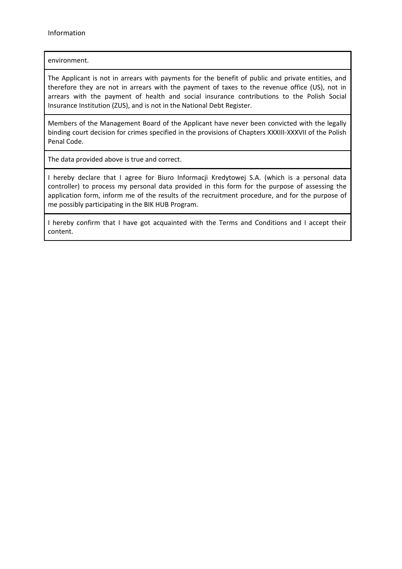# environment.

The Applicant is not in arrears with payments for the benefit of public and private entities, and therefore they are not in arrears with the payment of taxes to the revenue office (US), not in arrears with the payment of health and social insurance contributions to the Polish Social Insurance Institution (ZUS), and is not in the National Debt Register.

Members of the Management Board of the Applicant have never been convicted with the legally binding court decision for crimes specified in the provisions of Chapters XXXIII-XXXVII of the Polish Penal Code.

The data provided above is true and correct.

I hereby declare that I agree for Biuro Informacji Kredytowej S.A. (which is a personal data controller) to process my personal data provided in this form for the purpose of assessing the application form, inform me of the results of the recruitment procedure, and for the purpose of me possibly participating in the BIK HUB Program.

I hereby confirm that I have got acquainted with the Terms and Conditions and I accept their content.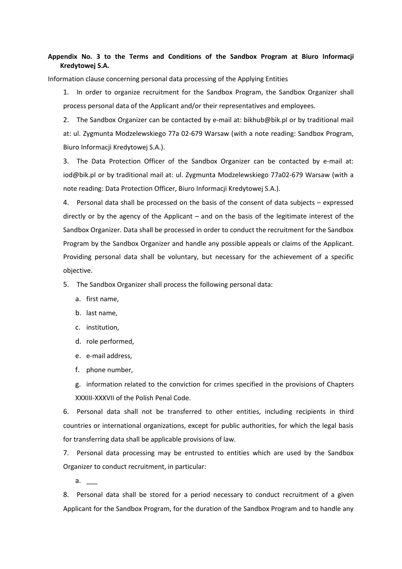# **Appendix No. 3 to the Terms and Conditions of the Sandbox Program at Biuro Informacji Kredytowej S.A.**

Information clause concerning personal data processing of the Applying Entities

1. In order to organize recruitment for the Sandbox Program, the Sandbox Organizer shall process personal data of the Applicant and/or their representatives and employees.

2. The Sandbox Organizer can be contacted by e-mail at: bikhub@bik.pl or by traditional mail at: ul. Zygmunta Modzelewskiego 77a 02-679 Warsaw (with a note reading: Sandbox Program, Biuro Informacji Kredytowej S.A.).

3. The Data Protection Officer of the Sandbox Organizer can be contacted by e-mail at: iod@bik.pl or by traditional mail at: ul. Zygmunta Modzelewskiego 77a02-679 Warsaw (with a note reading: Data Protection Officer, Biuro Informacji Kredytowej S.A.).

4. Personal data shall be processed on the basis of the consent of data subjects – expressed directly or by the agency of the Applicant – and on the basis of the legitimate interest of the Sandbox Organizer. Data shall be processed in order to conduct the recruitment for the Sandbox Program by the Sandbox Organizer and handle any possible appeals or claims of the Applicant. Providing personal data shall be voluntary, but necessary for the achievement of a specific objective.

5. The Sandbox Organizer shall process the following personal data:

- a. first name,
- b. last name,
- c. institution,
- d. role performed,
- e. e-mail address,
- f. phone number,

g. information related to the conviction for crimes specified in the provisions of Chapters XXXIII-XXXVII of the Polish Penal Code.

6. Personal data shall not be transferred to other entities, including recipients in third countries or international organizations, except for public authorities, for which the legal basis for transferring data shall be applicable provisions of law.

7. Personal data processing may be entrusted to entities which are used by the Sandbox Organizer to conduct recruitment, in particular:

 $a<sub>r</sub>$ 

8. Personal data shall be stored for a period necessary to conduct recruitment of a given Applicant for the Sandbox Program, for the duration of the Sandbox Program and to handle any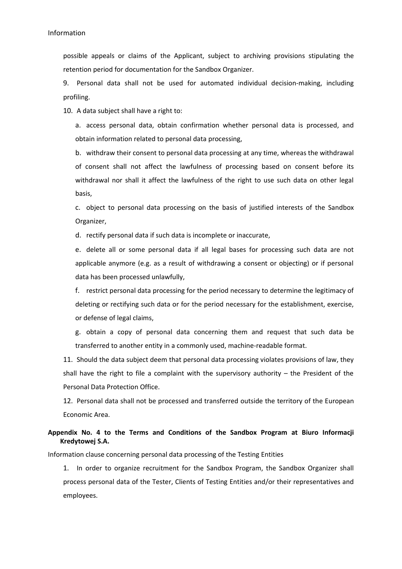possible appeals or claims of the Applicant, subject to archiving provisions stipulating the retention period for documentation for the Sandbox Organizer.

9. Personal data shall not be used for automated individual decision-making, including profiling.

10. A data subject shall have a right to:

a. access personal data, obtain confirmation whether personal data is processed, and obtain information related to personal data processing,

b. withdraw their consent to personal data processing at any time, whereas the withdrawal of consent shall not affect the lawfulness of processing based on consent before its withdrawal nor shall it affect the lawfulness of the right to use such data on other legal basis,

c. object to personal data processing on the basis of justified interests of the Sandbox Organizer,

d. rectify personal data if such data is incomplete or inaccurate,

e. delete all or some personal data if all legal bases for processing such data are not applicable anymore (e.g. as a result of withdrawing a consent or objecting) or if personal data has been processed unlawfully,

f. restrict personal data processing for the period necessary to determine the legitimacy of deleting or rectifying such data or for the period necessary for the establishment, exercise, or defense of legal claims,

g. obtain a copy of personal data concerning them and request that such data be transferred to another entity in a commonly used, machine-readable format.

11. Should the data subject deem that personal data processing violates provisions of law, they shall have the right to file a complaint with the supervisory authority – the President of the Personal Data Protection Office.

12. Personal data shall not be processed and transferred outside the territory of the European Economic Area.

# **Appendix No. 4 to the Terms and Conditions of the Sandbox Program at Biuro Informacji Kredytowej S.A.**

Information clause concerning personal data processing of the Testing Entities

1. In order to organize recruitment for the Sandbox Program, the Sandbox Organizer shall process personal data of the Tester, Clients of Testing Entities and/or their representatives and employees.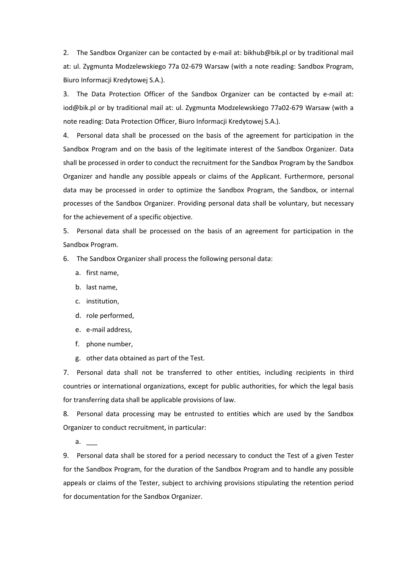2. The Sandbox Organizer can be contacted by e-mail at: bikhub@bik.pl or by traditional mail at: ul. Zygmunta Modzelewskiego 77a 02-679 Warsaw (with a note reading: Sandbox Program, Biuro Informacji Kredytowej S.A.).

3. The Data Protection Officer of the Sandbox Organizer can be contacted by e-mail at: iod@bik.pl or by traditional mail at: ul. Zygmunta Modzelewskiego 77a02-679 Warsaw (with a note reading: Data Protection Officer, Biuro Informacji Kredytowej S.A.).

4. Personal data shall be processed on the basis of the agreement for participation in the Sandbox Program and on the basis of the legitimate interest of the Sandbox Organizer. Data shall be processed in order to conduct the recruitment for the Sandbox Program by the Sandbox Organizer and handle any possible appeals or claims of the Applicant. Furthermore, personal data may be processed in order to optimize the Sandbox Program, the Sandbox, or internal processes of the Sandbox Organizer. Providing personal data shall be voluntary, but necessary for the achievement of a specific objective.

5. Personal data shall be processed on the basis of an agreement for participation in the Sandbox Program.

6. The Sandbox Organizer shall process the following personal data:

- a. first name,
- b. last name,
- c. institution,
- d. role performed,
- e. e-mail address,
- f. phone number,
- g. other data obtained as part of the Test.

7. Personal data shall not be transferred to other entities, including recipients in third countries or international organizations, except for public authorities, for which the legal basis for transferring data shall be applicable provisions of law.

8. Personal data processing may be entrusted to entities which are used by the Sandbox Organizer to conduct recruitment, in particular:

 $a.$ 

9. Personal data shall be stored for a period necessary to conduct the Test of a given Tester for the Sandbox Program, for the duration of the Sandbox Program and to handle any possible appeals or claims of the Tester, subject to archiving provisions stipulating the retention period for documentation for the Sandbox Organizer.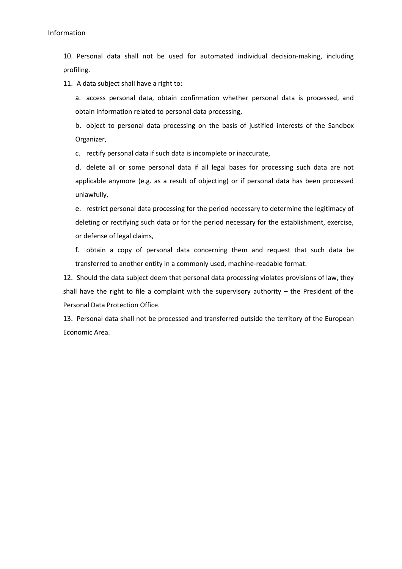10. Personal data shall not be used for automated individual decision-making, including profiling.

11. A data subject shall have a right to:

a. access personal data, obtain confirmation whether personal data is processed, and obtain information related to personal data processing,

b. object to personal data processing on the basis of justified interests of the Sandbox Organizer,

c. rectify personal data if such data is incomplete or inaccurate,

d. delete all or some personal data if all legal bases for processing such data are not applicable anymore (e.g. as a result of objecting) or if personal data has been processed unlawfully,

e. restrict personal data processing for the period necessary to determine the legitimacy of deleting or rectifying such data or for the period necessary for the establishment, exercise, or defense of legal claims,

f. obtain a copy of personal data concerning them and request that such data be transferred to another entity in a commonly used, machine-readable format.

12. Should the data subject deem that personal data processing violates provisions of law, they shall have the right to file a complaint with the supervisory authority – the President of the Personal Data Protection Office.

13. Personal data shall not be processed and transferred outside the territory of the European Economic Area.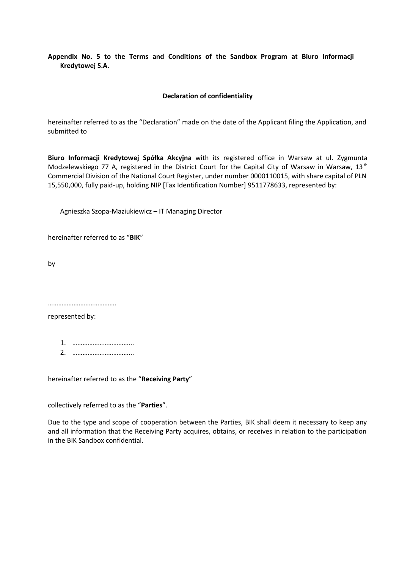# **Appendix No. 5 to the Terms and Conditions of the Sandbox Program at Biuro Informacji Kredytowej S.A.**

### **Declaration of confidentiality**

hereinafter referred to as the "Declaration" made on the date of the Applicant filing the Application, and submitted to

**Biuro Informacji Kredytowej Spółka Akcyjna** with its registered office in Warsaw at ul. Zygmunta Modzelewskiego 77 A, registered in the District Court for the Capital City of Warsaw in Warsaw, 13<sup>th</sup> Commercial Division of the National Court Register, under number 0000110015, with share capital of PLN 15,550,000, fully paid-up, holding NIP [Tax Identification Number] 9511778633, represented by:

Agnieszka Szopa-Maziukiewicz – IT Managing Director

hereinafter referred to as "**BIK**"

by

…………………………………………

represented by:

1. ……………………………... 2. ……………………………...

hereinafter referred to as the "**Receiving Party**"

collectively referred to as the "**Parties**".

Due to the type and scope of cooperation between the Parties, BIK shall deem it necessary to keep any and all information that the Receiving Party acquires, obtains, or receives in relation to the participation in the BIK Sandbox confidential.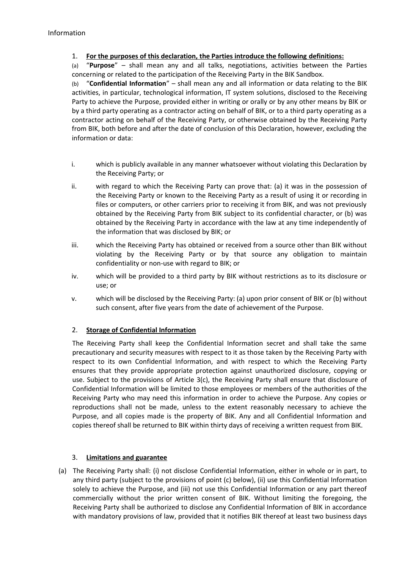# 1. **For the purposes of this declaration, the Parties introduce the following definitions:**

(a) "**Purpose**" – shall mean any and all talks, negotiations, activities between the Parties concerning or related to the participation of the Receiving Party in the BIK Sandbox.

(b) "**Confidential Information**" – shall mean any and all information or data relating to the BIK activities, in particular, technological information, IT system solutions, disclosed to the Receiving Party to achieve the Purpose, provided either in writing or orally or by any other means by BIK or by a third party operating as a contractor acting on behalf of BIK, or to a third party operating as a contractor acting on behalf of the Receiving Party, or otherwise obtained by the Receiving Party from BIK, both before and after the date of conclusion of this Declaration, however, excluding the information or data:

- i. which is publicly available in any manner whatsoever without violating this Declaration by the Receiving Party; or
- ii. with regard to which the Receiving Party can prove that: (a) it was in the possession of the Receiving Party or known to the Receiving Party as a result of using it or recording in files or computers, or other carriers prior to receiving it from BIK, and was not previously obtained by the Receiving Party from BIK subject to its confidential character, or (b) was obtained by the Receiving Party in accordance with the law at any time independently of the information that was disclosed by BIK; or
- iii. which the Receiving Party has obtained or received from a source other than BIK without violating by the Receiving Party or by that source any obligation to maintain confidentiality or non-use with regard to BIK; or
- iv. which will be provided to a third party by BIK without restrictions as to its disclosure or use; or
- v. which will be disclosed by the Receiving Party: (a) upon prior consent of BIK or (b) without such consent, after five years from the date of achievement of the Purpose.

# 2. **Storage of Confidential Information**

The Receiving Party shall keep the Confidential Information secret and shall take the same precautionary and security measures with respect to it as those taken by the Receiving Party with respect to its own Confidential Information, and with respect to which the Receiving Party ensures that they provide appropriate protection against unauthorized disclosure, copying or use. Subject to the provisions of Article 3(c), the Receiving Party shall ensure that disclosure of Confidential Information will be limited to those employees or members of the authorities of the Receiving Party who may need this information in order to achieve the Purpose. Any copies or reproductions shall not be made, unless to the extent reasonably necessary to achieve the Purpose, and all copies made is the property of BIK. Any and all Confidential Information and copies thereof shall be returned to BIK within thirty days of receiving a written request from BIK.

# 3. **Limitations and guarantee**

(a) The Receiving Party shall: (i) not disclose Confidential Information, either in whole or in part, to any third party (subject to the provisions of point (c) below), (ii) use this Confidential Information solely to achieve the Purpose, and (iii) not use this Confidential Information or any part thereof commercially without the prior written consent of BIK. Without limiting the foregoing, the Receiving Party shall be authorized to disclose any Confidential Information of BIK in accordance with mandatory provisions of law, provided that it notifies BIK thereof at least two business days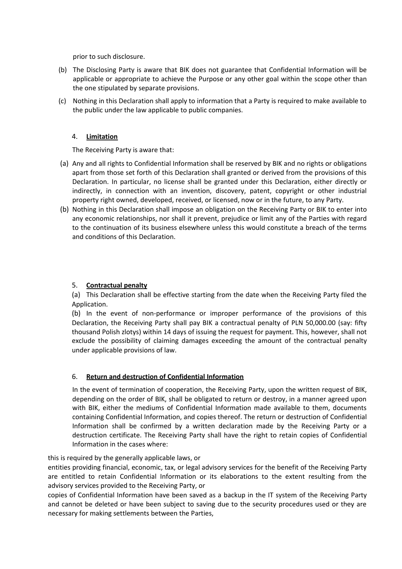prior to such disclosure.

- (b) The Disclosing Party is aware that BIK does not guarantee that Confidential Information will be applicable or appropriate to achieve the Purpose or any other goal within the scope other than the one stipulated by separate provisions.
- (c) Nothing in this Declaration shall apply to information that a Party is required to make available to the public under the law applicable to public companies.

# 4. **Limitation**

The Receiving Party is aware that:

- (a) Any and all rights to Confidential Information shall be reserved by BIK and no rights or obligations apart from those set forth of this Declaration shall granted or derived from the provisions of this Declaration. In particular, no license shall be granted under this Declaration, either directly or indirectly, in connection with an invention, discovery, patent, copyright or other industrial property right owned, developed, received, or licensed, now or in the future, to any Party.
- (b) Nothing in this Declaration shall impose an obligation on the Receiving Party or BIK to enter into any economic relationships, nor shall it prevent, prejudice or limit any of the Parties with regard to the continuation of its business elsewhere unless this would constitute a breach of the terms and conditions of this Declaration.

# 5. **Contractual penalty**

(a) This Declaration shall be effective starting from the date when the Receiving Party filed the Application.

(b) In the event of non-performance or improper performance of the provisions of this Declaration, the Receiving Party shall pay BIK a contractual penalty of PLN 50,000.00 (say: fifty thousand Polish zlotys) within 14 days of issuing the request for payment. This, however, shall not exclude the possibility of claiming damages exceeding the amount of the contractual penalty under applicable provisions of law.

# 6. **Return and destruction of Confidential Information**

In the event of termination of cooperation, the Receiving Party, upon the written request of BIK, depending on the order of BIK, shall be obligated to return or destroy, in a manner agreed upon with BIK, either the mediums of Confidential Information made available to them, documents containing Confidential Information, and copies thereof. The return or destruction of Confidential Information shall be confirmed by a written declaration made by the Receiving Party or a destruction certificate. The Receiving Party shall have the right to retain copies of Confidential Information in the cases where:

# this is required by the generally applicable laws, or

entities providing financial, economic, tax, or legal advisory services for the benefit of the Receiving Party are entitled to retain Confidential Information or its elaborations to the extent resulting from the advisory services provided to the Receiving Party, or

copies of Confidential Information have been saved as a backup in the IT system of the Receiving Party and cannot be deleted or have been subject to saving due to the security procedures used or they are necessary for making settlements between the Parties,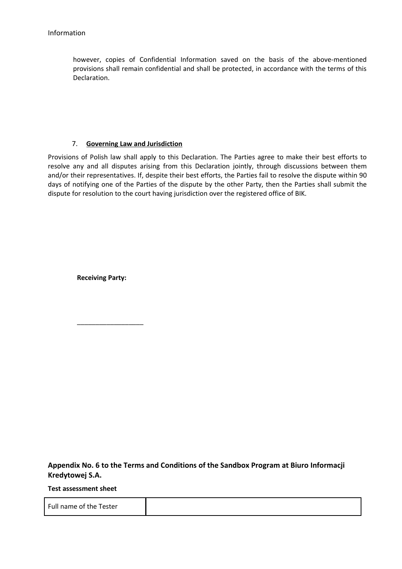however, copies of Confidential Information saved on the basis of the above-mentioned provisions shall remain confidential and shall be protected, in accordance with the terms of this Declaration.

# 7. **Governing Law and Jurisdiction**

Provisions of Polish law shall apply to this Declaration. The Parties agree to make their best efforts to resolve any and all disputes arising from this Declaration jointly, through discussions between them and/or their representatives. If, despite their best efforts, the Parties fail to resolve the dispute within 90 days of notifying one of the Parties of the dispute by the other Party, then the Parties shall submit the dispute for resolution to the court having jurisdiction over the registered office of BIK.

**Receiving Party:**

\_\_\_\_\_\_\_\_\_\_\_\_\_\_\_\_\_\_

**Appendix No. 6 to the Terms and Conditions of the Sandbox Program at Biuro Informacji Kredytowej S.A.**

**Test assessment sheet**

Full name of the Tester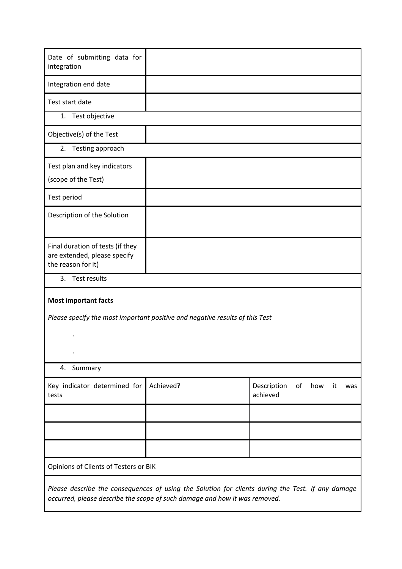| Date of submitting data for<br>integration                                                                  |           |                                                   |  |
|-------------------------------------------------------------------------------------------------------------|-----------|---------------------------------------------------|--|
| Integration end date                                                                                        |           |                                                   |  |
| Test start date                                                                                             |           |                                                   |  |
| 1. Test objective                                                                                           |           |                                                   |  |
| Objective(s) of the Test                                                                                    |           |                                                   |  |
| Testing approach<br>2.                                                                                      |           |                                                   |  |
| Test plan and key indicators<br>(scope of the Test)                                                         |           |                                                   |  |
| Test period                                                                                                 |           |                                                   |  |
| Description of the Solution                                                                                 |           |                                                   |  |
| Final duration of tests (if they<br>are extended, please specify<br>the reason for it)                      |           |                                                   |  |
| Test results<br>3.                                                                                          |           |                                                   |  |
| <b>Most important facts</b><br>Please specify the most important positive and negative results of this Test |           |                                                   |  |
|                                                                                                             |           |                                                   |  |
| $\cdot$                                                                                                     |           |                                                   |  |
| 4.<br>Summary                                                                                               |           |                                                   |  |
| Key indicator determined for<br>tests                                                                       | Achieved? | Description<br>of<br>how<br>it<br>was<br>achieved |  |
|                                                                                                             |           |                                                   |  |
|                                                                                                             |           |                                                   |  |
|                                                                                                             |           |                                                   |  |
| Opinions of Clients of Testers or BIK                                                                       |           |                                                   |  |
| Please describe the consequences of using the Solution for clients during the Test. If any damage           |           |                                                   |  |
| occurred, please describe the scope of such damage and how it was removed.                                  |           |                                                   |  |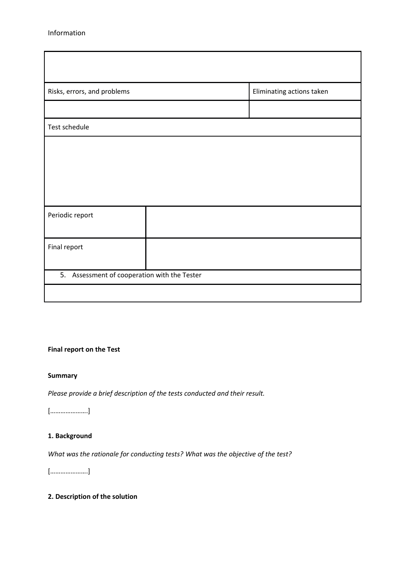| Risks, errors, and problems                  |  | Eliminating actions taken |  |  |
|----------------------------------------------|--|---------------------------|--|--|
|                                              |  |                           |  |  |
| Test schedule                                |  |                           |  |  |
|                                              |  |                           |  |  |
|                                              |  |                           |  |  |
|                                              |  |                           |  |  |
|                                              |  |                           |  |  |
| Periodic report                              |  |                           |  |  |
|                                              |  |                           |  |  |
| Final report                                 |  |                           |  |  |
|                                              |  |                           |  |  |
| 5. Assessment of cooperation with the Tester |  |                           |  |  |
|                                              |  |                           |  |  |

# **Final report on the Test**

#### **Summary**

*Please provide a brief description of the tests conducted and their result.*

[………………….]

# **1. Background**

*What was the rationale for conducting tests? What was the objective of the test?*

[………………….]

# **2. Description of the solution**